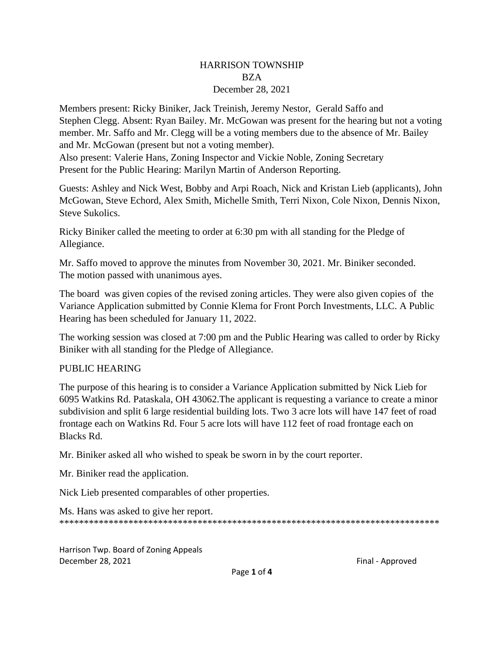## HARRISON TOWNSHIP BZA December 28, 2021

Members present: Ricky Biniker, Jack Treinish, Jeremy Nestor, Gerald Saffo and Stephen Clegg. Absent: Ryan Bailey. Mr. McGowan was present for the hearing but not a voting member. Mr. Saffo and Mr. Clegg will be a voting members due to the absence of Mr. Bailey and Mr. McGowan (present but not a voting member).

Also present: Valerie Hans, Zoning Inspector and Vickie Noble, Zoning Secretary Present for the Public Hearing: Marilyn Martin of Anderson Reporting.

Guests: Ashley and Nick West, Bobby and Arpi Roach, Nick and Kristan Lieb (applicants), John McGowan, Steve Echord, Alex Smith, Michelle Smith, Terri Nixon, Cole Nixon, Dennis Nixon, Steve Sukolics.

Ricky Biniker called the meeting to order at 6:30 pm with all standing for the Pledge of Allegiance.

Mr. Saffo moved to approve the minutes from November 30, 2021. Mr. Biniker seconded. The motion passed with unanimous ayes.

The board was given copies of the revised zoning articles. They were also given copies of the Variance Application submitted by Connie Klema for Front Porch Investments, LLC. A Public Hearing has been scheduled for January 11, 2022.

The working session was closed at 7:00 pm and the Public Hearing was called to order by Ricky Biniker with all standing for the Pledge of Allegiance.

## PUBLIC HEARING

The purpose of this hearing is to consider a Variance Application submitted by Nick Lieb for 6095 Watkins Rd. Pataskala, OH 43062.The applicant is requesting a variance to create a minor subdivision and split 6 large residential building lots. Two 3 acre lots will have 147 feet of road frontage each on Watkins Rd. Four 5 acre lots will have 112 feet of road frontage each on Blacks Rd.

Mr. Biniker asked all who wished to speak be sworn in by the court reporter.

Mr. Biniker read the application.

Nick Lieb presented comparables of other properties.

```
Ms. Hans was asked to give her report.
*****************************************************************************
```
Harrison Twp. Board of Zoning Appeals December 28, 2021 **Final - Approved Final - Approved** 

Page **1** of **4**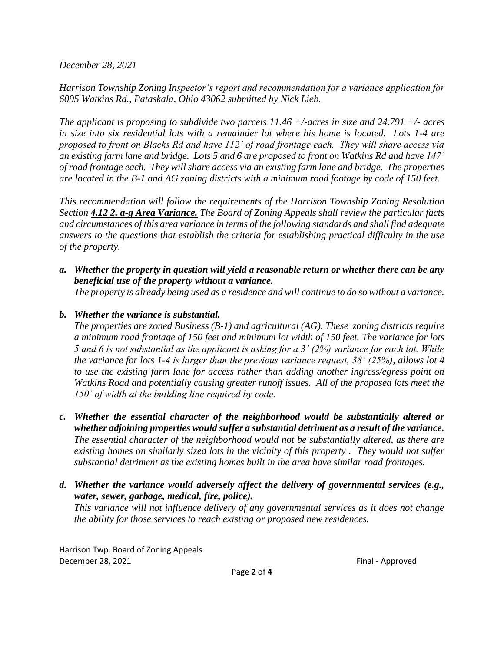*December 28, 2021*

*Harrison Township Zoning Inspector's report and recommendation for a variance application for 6095 Watkins Rd., Pataskala, Ohio 43062 submitted by Nick Lieb.*

*The applicant is proposing to subdivide two parcels 11.46 +/-acres in size and 24.791 +/- acres in size into six residential lots with a remainder lot where his home is located. Lots 1-4 are proposed to front on Blacks Rd and have 112' of road frontage each. They will share access via an existing farm lane and bridge. Lots 5 and 6 are proposed to front on Watkins Rd and have 147' of road frontage each. They will share access via an existing farm lane and bridge. The properties are located in the B-1 and AG zoning districts with a minimum road footage by code of 150 feet.*

*This recommendation will follow the requirements of the Harrison Township Zoning Resolution Section 4.12 2. a-g Area Variance. The Board of Zoning Appeals shall review the particular facts and circumstances of this area variance in terms of the following standards and shall find adequate answers to the questions that establish the criteria for establishing practical difficulty in the use of the property.*

*a. Whether the property in question will yield a reasonable return or whether there can be any beneficial use of the property without a variance.*

*The property is already being used as a residence and will continue to do so without a variance.*

## *b. Whether the variance is substantial.*

*The properties are zoned Business (B-1) and agricultural (AG). These zoning districts require a minimum road frontage of 150 feet and minimum lot width of 150 feet. The variance for lots 5 and 6 is not substantial as the applicant is asking for a 3' (2%) variance for each lot. While the variance for lots 1-4 is larger than the previous variance request, 38' (25%), allows lot 4 to use the existing farm lane for access rather than adding another ingress/egress point on Watkins Road and potentially causing greater runoff issues. All of the proposed lots meet the 150' of width at the building line required by code.*

- *c. Whether the essential character of the neighborhood would be substantially altered or whether adjoining properties would suffer a substantial detriment as a result of the variance. The essential character of the neighborhood would not be substantially altered, as there are existing homes on similarly sized lots in the vicinity of this property . They would not suffer substantial detriment as the existing homes built in the area have similar road frontages.*
- *d. Whether the variance would adversely affect the delivery of governmental services (e.g., water, sewer, garbage, medical, fire, police).*

*This variance will not influence delivery of any governmental services as it does not change the ability for those services to reach existing or proposed new residences.*

Harrison Twp. Board of Zoning Appeals December 28, 2021 **Final - Approved Final - Approved**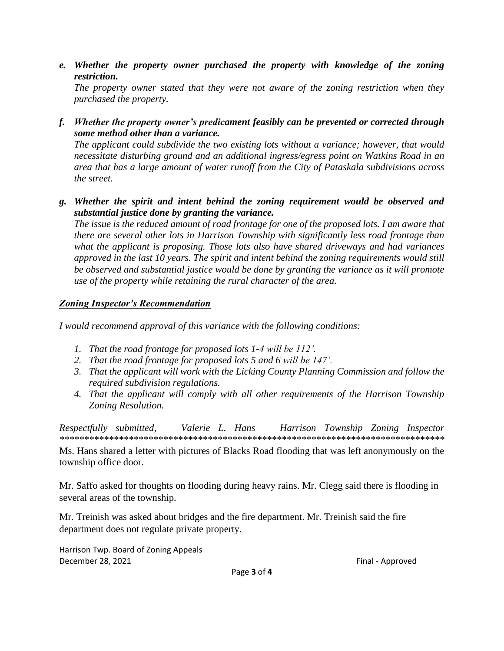e. Whether the property owner purchased the property with knowledge of the zoning restriction.

The property owner stated that they were not aware of the zoning restriction when they purchased the property.

f. Whether the property owner's predicament feasibly can be prevented or corrected through some method other than a variance.

The applicant could subdivide the two existing lots without a variance; however, that would necessitate disturbing ground and an additional ingress/egress point on Watkins Road in an area that has a large amount of water runoff from the City of Pataskala subdivisions across the street.

g. Whether the spirit and intent behind the zoning requirement would be observed and substantial justice done by granting the variance.

The issue is the reduced amount of road frontage for one of the proposed lots. I am aware that there are several other lots in Harrison Township with significantly less road frontage than what the applicant is proposing. Those lots also have shared driveways and had variances approved in the last 10 years. The spirit and intent behind the zoning requirements would still be observed and substantial justice would be done by granting the variance as it will promote use of the property while retaining the rural character of the area.

## **Zoning Inspector's Recommendation**

I would recommend approval of this variance with the following conditions:

- 1. That the road frontage for proposed lots 1-4 will be 112'.
- 2. That the road frontage for proposed lots 5 and 6 will be 147'.
- 3. That the applicant will work with the Licking County Planning Commission and follow the required subdivision regulations.
- 4. That the applicant will comply with all other requirements of the Harrison Township Zoning Resolution.

Respectfully submitted, Valerie L. Hans Harrison Township Zoning Inspector 

Ms. Hans shared a letter with pictures of Blacks Road flooding that was left anonymously on the township office door.

Mr. Saffo asked for thoughts on flooding during heavy rains. Mr. Clegg said there is flooding in several areas of the township.

Mr. Treinish was asked about bridges and the fire department. Mr. Treinish said the fire department does not regulate private property.

Harrison Twp. Board of Zoning Appeals December 28, 2021

Final - Approved